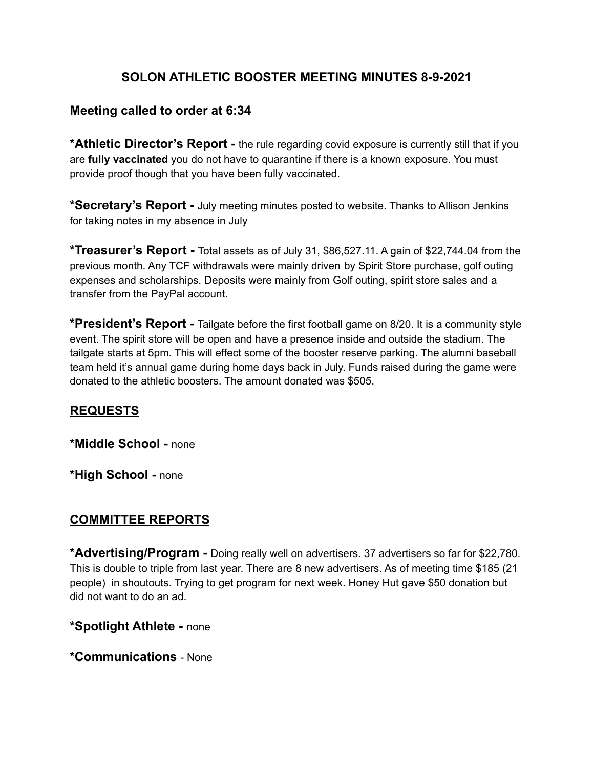# **SOLON ATHLETIC BOOSTER MEETING MINUTES 8-9-2021**

## **Meeting called to order at 6:34**

**\*Athletic Director's Report -** the rule regarding covid exposure is currently still that if you are **fully vaccinated** you do not have to quarantine if there is a known exposure. You must provide proof though that you have been fully vaccinated.

**\*Secretary's Report -** July meeting minutes posted to website. Thanks to Allison Jenkins for taking notes in my absence in July

**\*Treasurer's Report -** Total assets as of July 31, \$86,527.11. A gain of \$22,744.04 from the previous month. Any TCF withdrawals were mainly driven by Spirit Store purchase, golf outing expenses and scholarships. Deposits were mainly from Golf outing, spirit store sales and a transfer from the PayPal account.

**\*President's Report -** Tailgate before the first football game on 8/20. It is a community style event. The spirit store will be open and have a presence inside and outside the stadium. The tailgate starts at 5pm. This will effect some of the booster reserve parking. The alumni baseball team held it's annual game during home days back in July. Funds raised during the game were donated to the athletic boosters. The amount donated was \$505.

### **REQUESTS**

**\*Middle School -** none

**\*High School -** none

### **COMMITTEE REPORTS**

**\*Advertising/Program -** Doing really well on advertisers. 37 advertisers so far for \$22,780. This is double to triple from last year. There are 8 new advertisers. As of meeting time \$185 (21 people) in shoutouts. Trying to get program for next week. Honey Hut gave \$50 donation but did not want to do an ad.

**\*Spotlight Athlete -** none

**\*Communications** - None